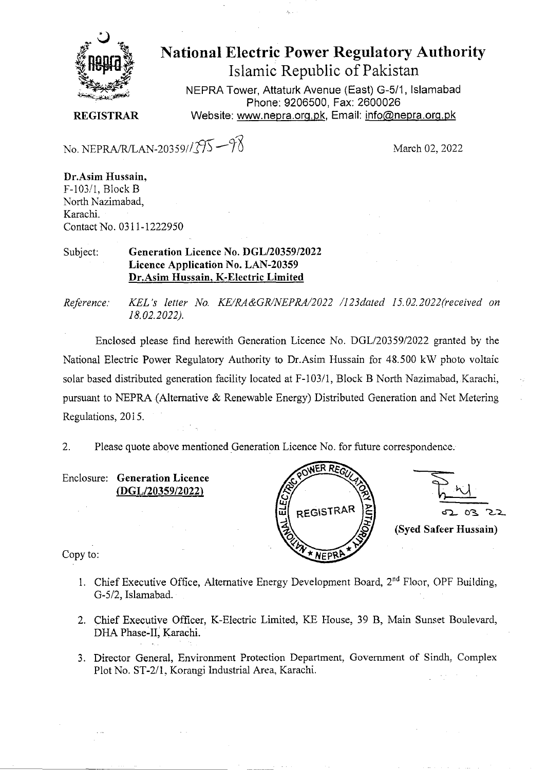

## **National Electric Power Regulatory Authority**  Islamic Republic of Pakistan

NEPRA Tower, Attaturk Avenue (East) **G-511,** Islamabad Phone: 9206500, Fax: 2600026 Website: www.nepra.org.pk, Email: info@nepra.org.pk

**REGISTRAR** 

No. NEPRA/R/LAN-20359// $\sqrt[3]{5} - \sqrt[4]{5}$  March 02, 2022

**Dr.Asim Hussain,**  F-103/1, Block B North Nazimabad, Karachi. Contact No. 03 11-1222950

## Subject: **Generation Licence No. DGL/20359/2022 Licence Application** No. LAN-20359 **Dr.Asim Hussain, K-Electric Limited**

*Reference: KEL's letter No. KE/RA&GR/NEPRA/2022 /l23dated 15.02.2022(received on 18.02.2022).* 

Enclosed please find herewith Generation Licence No. DGL/20359/2022 granted by the National Electric Power Regulatory Authority to Dr.Asim Hussain for 48.500 kW photo voltaic solar based distributed generation facility located at F-103/1, Block B North Nazimabad, Karachi, pursuant to NEPRA (Alternative & Renewable Energy) Distributed Generation and Net Metering Regulations, 2015.

2. Please quote above mentioned Generation Licence No. for future correspondence.

Enclosure: **Generation Licence (DGL/20359/2022)** 



 $8^{\circ}$ **(Syed Safeer Hussain)** 

Copy to:

- 1. Chief Executive Office, Alternative Energy Development Board,  $2<sup>nd</sup>$  Floor, OPF Building, G-5/2, Islamabad.
- 2. Chief Executive Officer, K-Electric Limited, KE House, 39 B, Main Sunset Boulevard, DHA Phase-IT, Karachi.
- 3. Director General, Environment Protection Department, Government of Sindh, Complex Plot No. ST-2/l. Korangi Industrial Area, Karachi.